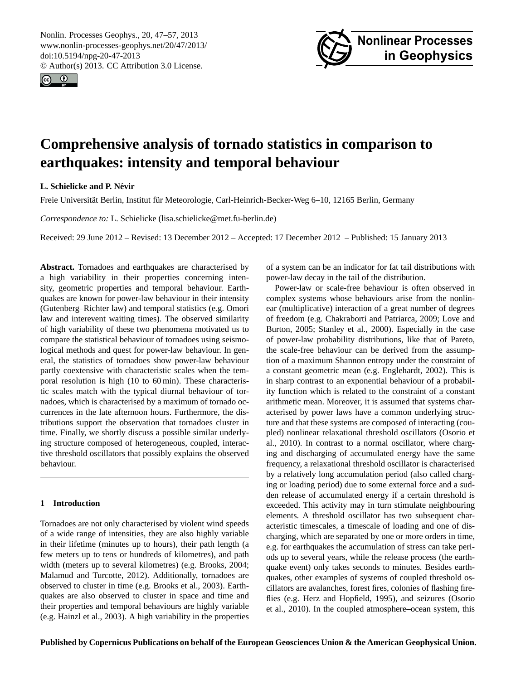<span id="page-0-0"></span>Nonlin. Processes Geophys., 20, 47–57, 2013 www.nonlin-processes-geophys.net/20/47/2013/ doi:10.5194/npg-20-47-2013 © Author(s) 2013. CC Attribution 3.0 License.





# **Comprehensive analysis of tornado statistics in comparison to earthquakes: intensity and temporal behaviour**

# **L. Schielicke and P. Nevir ´**

Freie Universität Berlin, Institut für Meteorologie, Carl-Heinrich-Becker-Weg 6–10, 12165 Berlin, Germany

*Correspondence to:* L. Schielicke (lisa.schielicke@met.fu-berlin.de)

Received: 29 June 2012 – Revised: 13 December 2012 – Accepted: 17 December 2012 – Published: 15 January 2013

**Abstract.** Tornadoes and earthquakes are characterised by a high variability in their properties concerning intensity, geometric properties and temporal behaviour. Earthquakes are known for power-law behaviour in their intensity (Gutenberg–Richter law) and temporal statistics (e.g. Omori law and interevent waiting times). The observed similarity of high variability of these two phenomena motivated us to compare the statistical behaviour of tornadoes using seismological methods and quest for power-law behaviour. In general, the statistics of tornadoes show power-law behaviour partly coextensive with characteristic scales when the temporal resolution is high (10 to 60 min). These characteristic scales match with the typical diurnal behaviour of tornadoes, which is characterised by a maximum of tornado occurrences in the late afternoon hours. Furthermore, the distributions support the observation that tornadoes cluster in time. Finally, we shortly discuss a possible similar underlying structure composed of heterogeneous, coupled, interactive threshold oscillators that possibly explains the observed behaviour.

# **1 Introduction**

Tornadoes are not only characterised by violent wind speeds of a wide range of intensities, they are also highly variable in their lifetime (minutes up to hours), their path length (a few meters up to tens or hundreds of kilometres), and path width (meters up to several kilometres) (e.g. [Brooks,](#page-9-0) [2004;](#page-9-0) [Malamud and Turcotte,](#page-9-1) [2012\)](#page-9-1). Additionally, tornadoes are observed to cluster in time (e.g. [Brooks et al.,](#page-9-2) [2003\)](#page-9-2). Earthquakes are also observed to cluster in space and time and their properties and temporal behaviours are highly variable (e.g. [Hainzl et al.,](#page-9-3) [2003\)](#page-9-3). A high variability in the properties of a system can be an indicator for fat tail distributions with power-law decay in the tail of the distribution.

Power-law or scale-free behaviour is often observed in complex systems whose behaviours arise from the nonlinear (multiplicative) interaction of a great number of degrees of freedom (e.g. [Chakraborti and Patriarca,](#page-9-4) [2009;](#page-9-4) [Love and](#page-9-5) [Burton,](#page-9-5) [2005;](#page-9-5) [Stanley et al.,](#page-10-0) [2000\)](#page-10-0). Especially in the case of power-law probability distributions, like that of Pareto, the scale-free behaviour can be derived from the assumption of a maximum Shannon entropy under the constraint of a constant geometric mean (e.g. [Englehardt,](#page-9-6) [2002\)](#page-9-6). This is in sharp contrast to an exponential behaviour of a probability function which is related to the constraint of a constant arithmetic mean. Moreover, it is assumed that systems characterised by power laws have a common underlying structure and that these systems are composed of interacting (coupled) nonlinear relaxational threshold oscillators (Osorio et al., 2010). In contrast to a normal oscillator, where charging and discharging of accumulated energy have the same frequency, a relaxational threshold oscillator is characterised by a relatively long accumulation period (also called charging or loading period) due to some external force and a sudden release of accumulated energy if a certain threshold is exceeded. This activity may in turn stimulate neighbouring elements. A threshold oscillator has two subsequent characteristic timescales, a timescale of loading and one of discharging, which are separated by one or more orders in time, e.g. for earthquakes the accumulation of stress can take periods up to several years, while the release process (the earthquake event) only takes seconds to minutes. Besides earthquakes, other examples of systems of coupled threshold oscillators are avalanches, forest fires, colonies of flashing fireflies (e.g. [Herz and Hopfield,](#page-9-7) [1995\)](#page-9-7), and seizures (Osorio et al., 2010). In the coupled atmosphere–ocean system, this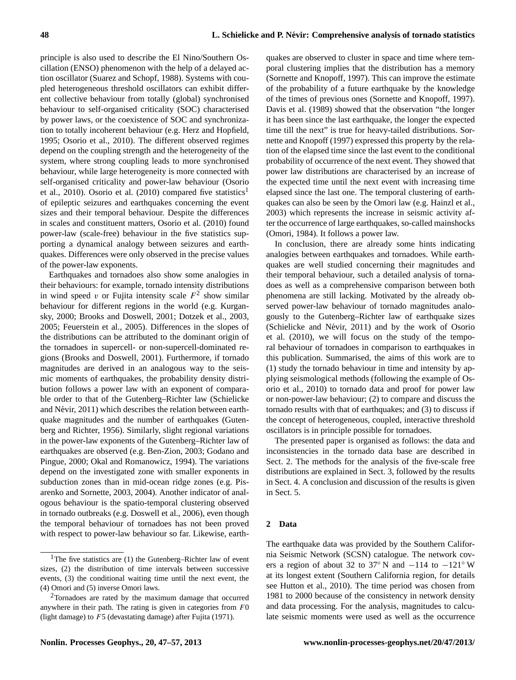principle is also used to describe the El Nino/Southern Oscillation (ENSO) phenomenon with the help of a delayed action oscillator [\(Suarez and Schopf,](#page-10-1) [1988\)](#page-10-1). Systems with coupled heterogeneous threshold oscillators can exhibit different collective behaviour from totally (global) synchronised behaviour to self-organised criticality (SOC) characterised by power laws, or the coexistence of SOC and synchronization to totally incoherent behaviour (e.g. [Herz and Hopfield,](#page-9-7) [1995;](#page-9-7) [Osorio et al.,](#page-9-8) [2010\)](#page-9-8). The different observed regimes depend on the coupling strength and the heterogeneity of the system, where strong coupling leads to more synchronised behaviour, while large heterogeneity is more connected with self-organised criticality and power-law behaviour (Osorio et al., 20[1](#page-1-0)0). Osorio et al. (2010) compared five statistics<sup>1</sup> of epileptic seizures and earthquakes concerning the event sizes and their temporal behaviour. Despite the differences in scales and constituent matters, [Osorio et al.](#page-9-8) [\(2010\)](#page-9-8) found power-law (scale-free) behaviour in the five statistics supporting a dynamical analogy between seizures and earthquakes. Differences were only observed in the precise values of the power-law exponents.

Earthquakes and tornadoes also show some analogies in their behaviours: for example, tornado intensity distributions in wind speed v or Fujita intensity scale  $F^2$  $F^2$  show similar behaviour for different regions in the world (e.g. Kurgansky, 2000; Brooks and Doswell, 2001; Dotzek et al., 2003, 2005; Feuerstein et al., 2005). Differences in the slopes of the distributions can be attributed to the dominant origin of the tornadoes in supercell- or non-supercell-dominated regions (Brooks and Doswell, 2001). Furthermore, if tornado magnitudes are derived in an analogous way to the seismic moments of earthquakes, the probability density distribution follows a power law with an exponent of comparable order to that of the Gutenberg–Richter law (Schielicke and Névir, 2011) which describes the relation between earthquake magnitudes and the number of earthquakes (Gutenberg and Richter, 1956). Similarly, slight regional variations in the power-law exponents of the Gutenberg–Richter law of earthquakes are observed (e.g. Ben-Zion, 2003; Godano and Pingue, 2000; Okal and Romanowicz, 1994). The variations depend on the investigated zone with smaller exponents in subduction zones than in mid-ocean ridge zones (e.g. [Pis](#page-9-9)[arenko and Sornette,](#page-9-9) [2003,](#page-9-9) [2004\)](#page-10-2). Another indicator of analogous behaviour is the spatio-temporal clustering observed in tornado outbreaks (e.g. [Doswell et al.,](#page-9-10) [2006\)](#page-9-10), even though the temporal behaviour of tornadoes has not been proved with respect to power-law behaviour so far. Likewise, earth-

quakes are observed to cluster in space and time where temporal clustering implies that the distribution has a memory (Sornette and Knopoff, 1997). This can improve the estimate of the probability of a future earthquake by the knowledge of the times of previous ones (Sornette and Knopoff, 1997). Davis et al. (1989) showed that the observation "the longer it has been since the last earthquake, the longer the expected time till the next" is true for heavy-tailed distributions. Sornette and Knopoff (1997) expressed this property by the relation of the elapsed time since the last event to the conditional probability of occurrence of the next event. They showed that power law distributions are characterised by an increase of the expected time until the next event with increasing time elapsed since the last one. The temporal clustering of earthquakes can also be seen by the Omori law (e.g. Hainzl et al., 2003) which represents the increase in seismic activity after the occurrence of large earthquakes, so-called mainshocks (Omori, 1984). It follows a power law.

In conclusion, there are already some hints indicating analogies between earthquakes and tornadoes. While earthquakes are well studied concerning their magnitudes and their temporal behaviour, such a detailed analysis of tornadoes as well as a comprehensive comparison between both phenomena are still lacking. Motivated by the already observed power-law behaviour of tornado magnitudes analogously to the Gutenberg–Richter law of earthquake sizes (Schielicke and Névir, 2011) and by the work of Osorio et al. (2010), we will focus on the study of the temporal behaviour of tornadoes in comparison to earthquakes in this publication. Summarised, the aims of this work are to (1) study the tornado behaviour in time and intensity by applying seismological methods (following the example of Osorio et al., 2010) to tornado data and proof for power law or non-power-law behaviour; (2) to compare and discuss the tornado results with that of earthquakes; and (3) to discuss if the concept of heterogeneous, coupled, interactive threshold oscillators is in principle possible for tornadoes.

The presented paper is organised as follows: the data and inconsistencies in the tornado data base are described in Sect. 2. The methods for the analysis of the five-scale free distributions are explained in Sect. 3, followed by the results in Sect. 4. A conclusion and discussion of the results is given in Sect. 5.

## **2 Data**

The earthquake data was provided by the Southern California Seismic Network (SCSN) catalogue. The network covers a region of about 32 to 37° N and  $-114$  to  $-121°$  W at its longest extent (Southern California region, for details see Hutton et al., 2010). The time period was chosen from 1981 to 2000 because of the consistency in network density and data processing. For the analysis, magnitudes to calculate seismic moments were used as well as the occurrence

<span id="page-1-0"></span><sup>&</sup>lt;sup>1</sup>The five statistics are  $(1)$  the Gutenberg–Richter law of event sizes, (2) the distribution of time intervals between successive events, (3) the conditional waiting time until the next event, the (4) Omori and (5) inverse Omori laws.

<span id="page-1-1"></span><sup>2</sup>Tornadoes are rated by the maximum damage that occurred anywhere in their path. The rating is given in categories from  $F0$ (light damage) to F5 (devastating damage) after Fujita (1971).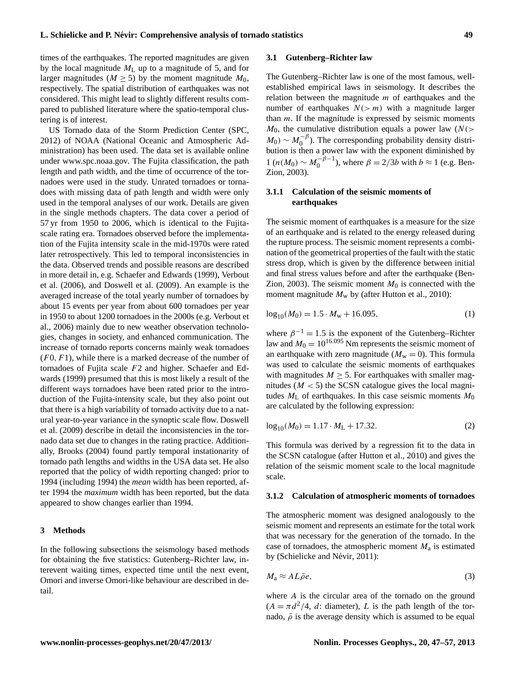times of the earthquakes. The reported magnitudes are given by the local magnitude  $M_{\rm L}$  up to a magnitude of 5, and for larger magnitudes ( $M \ge 5$ ) by the moment magnitude  $M_0$ , respectively. The spatial distribution of earthquakes was not considered. This might lead to slightly different results compared to published literature where the spatio-temporal clustering is of interest.

US Tornado data of the Storm Prediction Center [\(SPC,](#page-10-3) [2012\)](#page-10-3) of NOAA (National Oceanic and Atmospheric Administration) has been used. The data set is available online under [www.spc.noaa.gov.](www.spc.noaa.gov) The Fujita classification, the path length and path width, and the time of occurrence of the tornadoes were used in the study. Unrated tornadoes or tornadoes with missing data of path length and width were only used in the temporal analyses of our work. Details are given in the single methods chapters. The data cover a period of 57 yr from 1950 to 2006, which is identical to the Fujitascale rating era. Tornadoes observed before the implementation of the Fujita intensity scale in the mid-1970s were rated later retrospectively. This led to temporal inconsistencies in the data. Observed trends and possible reasons are described in more detail in, e.g. [Schaefer and Edwards](#page-10-4) [\(1999\)](#page-10-4), [Verbout](#page-10-5) [et al.](#page-10-5) [\(2006\)](#page-10-5), and [Doswell et al.](#page-9-11) [\(2009\)](#page-9-11). An example is the averaged increase of the total yearly number of tornadoes by about 15 events per year from about 600 tornadoes per year in 1950 to about 1200 tornadoes in the 2000s (e.g. Verbout et al., 2006) mainly due to new weather observation technologies, changes in society, and enhanced communication. The increase of tornado reports concerns mainly weak tornadoes  $(F0, F1)$ , while there is a marked decrease of the number of tornadoes of Fujita scale F2 and higher. [Schaefer and Ed](#page-10-4)[wards](#page-10-4) [\(1999\)](#page-10-4) presumed that this is most likely a result of the different ways tornadoes have been rated prior to the introduction of the Fujita-intensity scale, but they also point out that there is a high variability of tornado activity due to a natural year-to-year variance in the synoptic scale flow. Doswell et al. (2009) describe in detail the inconsistencies in the tornado data set due to changes in the rating practice. Additionally, [Brooks](#page-9-0) [\(2004\)](#page-9-0) found partly temporal instationarity of tornado path lengths and widths in the USA data set. He also reported that the policy of width reporting changed: prior to 1994 (including 1994) the *mean* width has been reported, after 1994 the *maximum* width has been reported, but the data appeared to show changes earlier than 1994.

#### **3 Methods**

In the following subsections the seismology based methods for obtaining the five statistics: Gutenberg–Richter law, interevent waiting times, expected time until the next event, Omori and inverse Omori-like behaviour are described in detail.

#### **3.1 Gutenberg–Richter law**

The Gutenberg–Richter law is one of the most famous, wellestablished empirical laws in seismology. It describes the relation between the magnitude  $m$  of earthquakes and the number of earthquakes  $N(> m)$  with a magnitude larger than  $m$ . If the magnitude is expressed by seismic moments  $M_0$ , the cumulative distribution equals a power law ( $N$ (>  $M_0 \sim M_0^{-\beta}$ ). The corresponding probability density distri- $\frac{1}{2}$  bution is then a power law with the exponent diminished by  $1 (n(M_0) \sim M_0^{-\beta - 1})$  $\binom{-\beta-1}{0}$ , where  $\beta = 2/3b$  with  $b \approx 1$  (e.g. [Ben-](#page-9-12)[Zion,](#page-9-12) [2003\)](#page-9-12).

# **3.1.1 Calculation of the seismic moments of earthquakes**

The seismic moment of earthquakes is a measure for the size of an earthquake and is related to the energy released during the rupture process. The seismic moment represents a combination of the geometrical properties of the fault with the static stress drop, which is given by the difference between initial and final stress values before and after the earthquake [\(Ben-](#page-9-12)[Zion,](#page-9-12) [2003\)](#page-9-12). The seismic moment  $M_0$  is connected with the moment magnitude  $M_w$  by (after Hutton et al., 2010):

$$
\log_{10}(M_0) = 1.5 \cdot M_w + 16.095,\tag{1}
$$

where  $\beta^{-1} = 1.5$  is the exponent of the Gutenberg–Richter law and  $M_0 = 10^{16.095}$  Nm represents the seismic moment of an earthquake with zero magnitude ( $M_w = 0$ ). This formula was used to calculate the seismic moments of earthquakes with magnitudes  $M \geq 5$ . For earthquakes with smaller magnitudes  $(M < 5)$  the SCSN catalogue gives the local magnitudes  $M_{\rm L}$  of earthquakes. In this case seismic moments  $M_0$ are calculated by the following expression:

$$
log_{10}(M_0) = 1.17 \cdot M_L + 17.32. \tag{2}
$$

This formula was derived by a regression fit to the data in the SCSN catalogue (after Hutton et al., 2010) and gives the relation of the seismic moment scale to the local magnitude scale.

#### **3.1.2 Calculation of atmospheric moments of tornadoes**

The atmospheric moment was designed analogously to the seismic moment and represents an estimate for the total work that was necessary for the generation of the tornado. In the case of tornadoes, the atmospheric moment  $M_a$  is estimated by (Schielicke and Névir, [2011\)](#page-10-6):

$$
M_a \approx AL\bar{\rho}e,\tag{3}
$$

where A is the circular area of the tornado on the ground  $(A = \pi d^2/4, d$ : diameter), L is the path length of the tornado,  $\bar{\rho}$  is the average density which is assumed to be equal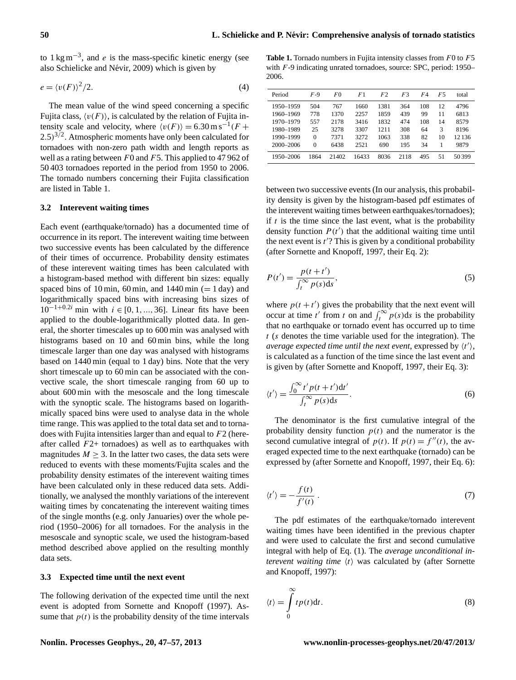to  $1 \text{ kg m}^{-3}$ , and *e* is the mass-specific kinetic energy (see also Schielicke and Névir, [2009\)](#page-10-7) which is given by

$$
e = \langle v(F) \rangle^2 / 2. \tag{4}
$$

The mean value of the wind speed concerning a specific Fujita class,  $\langle v(F) \rangle$ , is calculated by the relation of Fujita intensity scale and velocity, where  $\langle v(F) \rangle = 6.30 \text{ m s}^{-1} (F +$  $(2.5)^{3/2}$ . Atmospheric moments have only been calculated for tornadoes with non-zero path width and length reports as well as a rating between  $F0$  and  $F5$ . This applied to 47 962 of 50 403 tornadoes reported in the period from 1950 to 2006. The tornado numbers concerning their Fujita classification are listed in Table 1.

# **3.2 Interevent waiting times**

Each event (earthquake/tornado) has a documented time of occurrence in its report. The interevent waiting time between two successive events has been calculated by the difference of their times of occurrence. Probability density estimates of these interevent waiting times has been calculated with a histogram-based method with different bin sizes: equally spaced bins of 10 min, 60 min, and  $1440$  min (= 1 day) and logarithmically spaced bins with increasing bins sizes of  $10^{-1+0.2i}$  min with  $i \in [0, 1, ..., 36]$ . Linear fits have been applied to the double-logarithmically plotted data. In general, the shorter timescales up to 600 min was analysed with histograms based on 10 and 60 min bins, while the long timescale larger than one day was analysed with histograms based on 1440 min (equal to 1 day) bins. Note that the very short timescale up to 60 min can be associated with the convective scale, the short timescale ranging from 60 up to about 600 min with the mesoscale and the long timescale with the synoptic scale. The histograms based on logarithmically spaced bins were used to analyse data in the whole time range. This was applied to the total data set and to tornadoes with Fujita intensities larger than and equal to F2 (hereafter called  $F2+$  tornadoes) as well as to earthquakes with magnitudes  $M > 3$ . In the latter two cases, the data sets were reduced to events with these moments/Fujita scales and the probability density estimates of the interevent waiting times have been calculated only in these reduced data sets. Additionally, we analysed the monthly variations of the interevent waiting times by concatenating the interevent waiting times of the single months (e.g. only Januaries) over the whole period (1950–2006) for all tornadoes. For the analysis in the mesoscale and synoptic scale, we used the histogram-based method described above applied on the resulting monthly data sets.

### **3.3 Expected time until the next event**

The following derivation of the expected time until the next event is adopted from Sornette and Knopoff (1997). Assume that  $p(t)$  is the probability density of the time intervals

Table 1. Tornado numbers in Fujita intensity classes from F0 to F5 with F-9 indicating unrated tornadoes, source: SPC, period: 1950– 2006.

| Period    | $F-9$ | F0    | F1    | F2   | F3   | F4  | F5 | total |
|-----------|-------|-------|-------|------|------|-----|----|-------|
| 1950-1959 | 504   | 767   | 1660  | 1381 | 364  | 108 | 12 | 4796  |
| 1960-1969 | 778   | 1370  | 2257  | 1859 | 439  | 99  | 11 | 6813  |
| 1970-1979 | 557   | 2178  | 3416  | 1832 | 474  | 108 | 14 | 8579  |
| 1980-1989 | 25    | 3278  | 3307  | 1211 | 308  | 64  | 3  | 8196  |
| 1990-1999 | 0     | 7371  | 3272  | 1063 | 338  | 82  | 10 | 12136 |
| 2000-2006 | 0     | 6438  | 2521  | 690  | 195  | 34  |    | 9879  |
| 1950-2006 | 1864  | 21402 | 16433 | 8036 | 2118 | 495 | 51 | 50399 |

between two successive events (In our analysis, this probability density is given by the histogram-based pdf estimates of the interevent waiting times between earthquakes/tornadoes); if  $t$  is the time since the last event, what is the probability density function  $P(t')$  that the additional waiting time until the next event is  $t$ <sup>'</sup>? This is given by a conditional probability (after Sornette and Knopoff, 1997, their Eq. 2):

$$
P(t') = \frac{p(t+t')}{\int_{t}^{\infty} p(s)ds},
$$
\n(5)

where  $p(t + t')$  gives the probability that the next event will occur at time t' from t on and  $\int_t^{\infty} p(s) ds$  is the probability that no earthquake or tornado event has occurred up to time  $t$  (s denotes the time variable used for the integration). The *average expected time until the next event, expressed by*  $\langle t' \rangle$ *,* is calculated as a function of the time since the last event and is given by (after Sornette and Knopoff, 1997, their Eq. 3):

<span id="page-3-1"></span>
$$
\langle t' \rangle = \frac{\int_0^\infty t' p(t + t') dt'}{\int_t^\infty p(s) ds}.
$$
\n(6)

The denominator is the first cumulative integral of the probability density function  $p(t)$  and the numerator is the second cumulative integral of  $p(t)$ . If  $p(t) = f''(t)$ , the averaged expected time to the next earthquake (tornado) can be expressed by (after Sornette and Knopoff, 1997, their Eq. 6):

$$
\langle t' \rangle = -\frac{f(t)}{f'(t)}\,. \tag{7}
$$

The pdf estimates of the earthquake/tornado interevent waiting times have been identified in the previous chapter and were used to calculate the first and second cumulative integral with help of Eq. (1). The *average unconditional interevent waiting time*  $\langle t \rangle$  was calculated by (after Sornette and Knopoff, 1997):

<span id="page-3-0"></span>
$$
\langle t \rangle = \int_{0}^{\infty} t p(t) \mathrm{d}t. \tag{8}
$$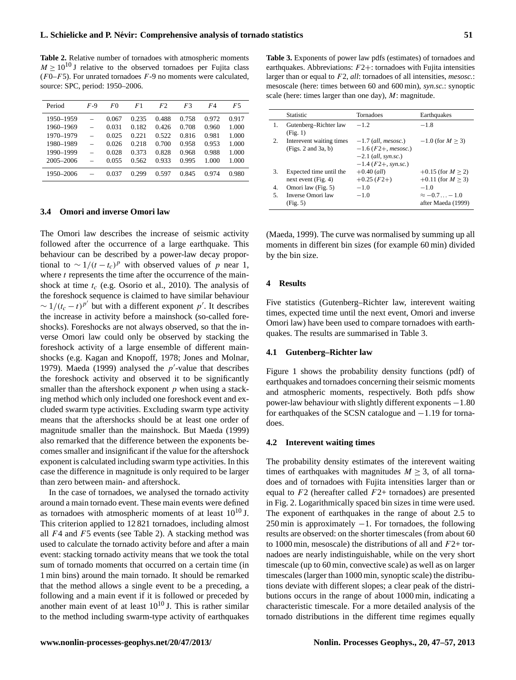**Table 2.** Relative number of tornadoes with atmospheric moments  $M \ge 10^{10}$  J relative to the observed tornadoes per Fujita class  $(F0-F5)$ . For unrated tornadoes  $F-9$  no moments were calculated, source: SPC, period: 1950–2006.

| Period    | F-9 | F0    | F1    | F <sub>2</sub> | F3    | F4    | F5    |
|-----------|-----|-------|-------|----------------|-------|-------|-------|
| 1950-1959 |     | 0.067 | 0.235 | 0.488          | 0.758 | 0.972 | 0.917 |
| 1960-1969 |     | 0.031 | 0.182 | 0.426          | 0.708 | 0.960 | 1.000 |
| 1970-1979 |     | 0.025 | 0.221 | 0.522          | 0.816 | 0.981 | 1.000 |
| 1980-1989 |     | 0.026 | 0.218 | 0.700          | 0.958 | 0.953 | 1.000 |
| 1990-1999 |     | 0.028 | 0.373 | 0.828          | 0.968 | 0.988 | 1.000 |
| 2005-2006 |     | 0.055 | 0.562 | 0.933          | 0.995 | 1.000 | 1.000 |
| 1950-2006 |     | 0.037 | 0.299 | 0.597          | 0.845 | 0.974 | 0.980 |

## **3.4 Omori and inverse Omori law**

The Omori law describes the increase of seismic activity followed after the occurrence of a large earthquake. This behaviour can be described by a power-law decay proportional to  $\sim 1/(t - t_c)^p$  with observed values of p near 1, where  $t$  represents the time after the occurrence of the mainshock at time  $t_c$  (e.g. [Osorio et al.,](#page-9-8) [2010\)](#page-9-8). The analysis of the foreshock sequence is claimed to have similar behaviour  $\sim 1/(t_c - t)^{p'}$  but with a different exponent p'. It describes the increase in activity before a mainshock (so-called foreshocks). Foreshocks are not always observed, so that the inverse Omori law could only be observed by stacking the foreshock activity of a large ensemble of different mainshocks (e.g. [Kagan and Knopoff,](#page-9-13) [1978;](#page-9-13) [Jones and Molnar,](#page-9-14) [1979\)](#page-9-14). [Maeda](#page-9-15) [\(1999\)](#page-9-15) analysed the  $p'$ -value that describes the foreshock activity and observed it to be significantly smaller than the aftershock exponent  $p$  when using a stacking method which only included one foreshock event and excluded swarm type activities. Excluding swarm type activity means that the aftershocks should be at least one order of magnitude smaller than the mainshock. But [Maeda](#page-9-15) [\(1999\)](#page-9-15) also remarked that the difference between the exponents becomes smaller and insignificant if the value for the aftershock exponent is calculated including swarm type activities. In this case the difference in magnitude is only required to be larger than zero between main- and aftershock.

In the case of tornadoes, we analysed the tornado activity around a main tornado event. These main events were defined as tornadoes with atmospheric moments of at least  $10^{10}$  J. This criterion applied to 12 821 tornadoes, including almost all  $F4$  and  $F5$  events (see Table 2). A stacking method was used to calculate the tornado activity before and after a main event: stacking tornado activity means that we took the total sum of tornado moments that occurred on a certain time (in 1 min bins) around the main tornado. It should be remarked that the method allows a single event to be a preceding, a following and a main event if it is followed or preceded by another main event of at least  $10^{10}$  J. This is rather similar to the method including swarm-type activity of earthquakes

**Table 3.** Exponents of power law pdfs (estimates) of tornadoes and earthquakes. Abbreviations:  $F2+$ : tornadoes with Fujita intensities larger than or equal to F2, *all*: tornadoes of all intensities, *mesosc.*: mesoscale (here: times between 60 and 600 min), *syn.sc.*: synoptic scale (here: times larger than one day), M: magnitude.

| <b>Statistic</b>                                    | Tornadoes                                                                                        | Earthquakes                                          |
|-----------------------------------------------------|--------------------------------------------------------------------------------------------------|------------------------------------------------------|
| Gutenberg-Richter law<br>(Fig. 1)                   | $-12$                                                                                            | $-1.8$                                               |
| Interevent waiting times<br>(Figs. 2 and 3a, b)     | $-1.7$ (all, mesosc.)<br>$-1.6$ (F2+, mesosc.)<br>$-2.1$ (all, syn.sc.)<br>$-1.4$ (F2+, syn.sc.) | $-1.0$ (for $M > 3$ )                                |
| Expected time until the<br>next event $(Fig. 4)$    | $+0.40$ (all)<br>$+0.25$ ( $F2+$ )                                                               | $+0.15$ (for $M > 2$ )<br>$+0.11$ (for $M > 3$ )     |
| Omori law (Fig. 5)<br>Inverse Omori law<br>(Fig. 5) | $-1.0$<br>$-1.0$                                                                                 | $-1.0$<br>$\approx -0.7 - 1.0$<br>after Maeda (1999) |
|                                                     |                                                                                                  |                                                      |

[\(Maeda,](#page-9-15) [1999\)](#page-9-15). The curve was normalised by summing up all moments in different bin sizes (for example 60 min) divided by the bin size.

#### **4 Results**

Five statistics (Gutenberg–Richter law, interevent waiting times, expected time until the next event, Omori and inverse Omori law) have been used to compare tornadoes with earthquakes. The results are summarised in Table 3.

#### **4.1 Gutenberg–Richter law**

Figure 1 shows the probability density functions (pdf) of earthquakes and tornadoes concerning their seismic moments and atmospheric moments, respectively. Both pdfs show power-law behaviour with slightly different exponents −1.80 for earthquakes of the SCSN catalogue and −1.19 for tornadoes.

#### **4.2 Interevent waiting times**

The probability density estimates of the interevent waiting times of earthquakes with magnitudes  $M \geq 3$ , of all tornadoes and of tornadoes with Fujita intensities larger than or equal to  $F2$  (hereafter called  $F2+$  tornadoes) are presented in Fig. 2. Logarithmically spaced bin sizes in time were used. The exponent of earthquakes in the range of about 2.5 to  $250$  min is approximately  $-1$ . For tornadoes, the following results are observed: on the shorter timescales (from about 60 to 1000 min, mesoscale) the distributions of all and  $F2+$  tornadoes are nearly indistinguishable, while on the very short timescale (up to 60 min, convective scale) as well as on larger timescales (larger than 1000 min, synoptic scale) the distributions deviate with different slopes; a clear peak of the distributions occurs in the range of about 1000 min, indicating a characteristic timescale. For a more detailed analysis of the tornado distributions in the different time regimes equally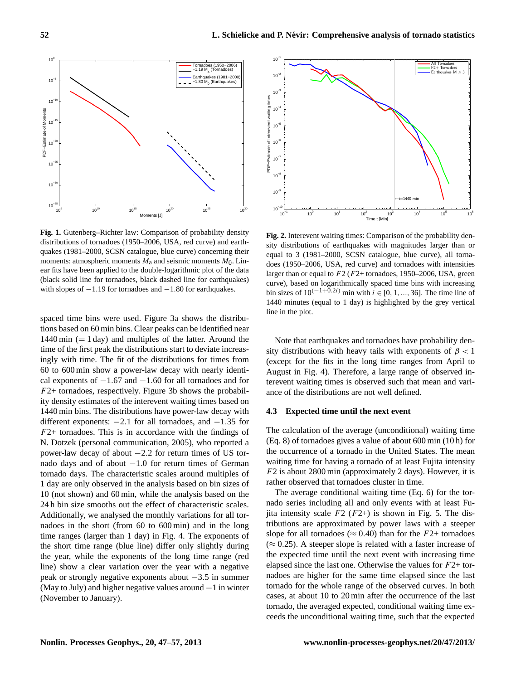

**Fig. 1.** Gutenberg–Richter law: Comparison of probability density distributions of tornadoes (1950–2006, USA, red curve) and earthquakes (1981–2000, SCSN catalogue, blue curve) concerning their moments: atmospheric moments  $M_a$  and seismic moments  $M_0$ . Linear fits have been applied to the double-logarithmic plot of the data (black solid line for tornadoes, black dashed line for earthquakes) with slopes of  $-1.19$  for tornadoes and  $-1.80$  for earthquakes.

spaced time bins were used. Figure 3a shows the distributions based on 60 min bins. Clear peaks can be identified near  $1440 \text{ min } (= 1 \text{ day})$  and multiples of the latter. Around the time of the first peak the distributions start to deviate increasingly with time. The fit of the distributions for times from 60 to 600 min show a power-law decay with nearly identical exponents of  $-1.67$  and  $-1.60$  for all tornadoes and for  $F2+$  tornadoes, respectively. Figure 3b shows the probability density estimates of the interevent waiting times based on 1440 min bins. The distributions have power-law decay with different exponents: −2.1 for all tornadoes, and −1.35 for  $F2+$  tornadoes. This is in accordance with the findings of N. Dotzek (personal communication, 2005), who reported a power-law decay of about −2.2 for return times of US tornado days and of about  $-1.0$  for return times of German tornado days. The characteristic scales around multiples of 1 day are only observed in the analysis based on bin sizes of 10 (not shown) and 60 min, while the analysis based on the 24 h bin size smooths out the effect of characteristic scales. Additionally, we analysed the monthly variations for all tornadoes in the short (from 60 to 600 min) and in the long time ranges (larger than 1 day) in Fig. 4. The exponents of the short time range (blue line) differ only slightly during the year, while the exponents of the long time range (red line) show a clear variation over the year with a negative peak or strongly negative exponents about −3.5 in summer (May to July) and higher negative values around  $-1$  in winter (November to January).



**Fig. 2.** Interevent waiting times: Comparison of the probability density distributions of earthquakes with magnitudes larger than or equal to 3 (1981–2000, SCSN catalogue, blue curve), all tornadoes (1950–2006, USA, red curve) and tornadoes with intensities larger than or equal to  $F2$  ( $F2+$  tornadoes, 1950–2006, USA, green curve), based on logarithmically spaced time bins with increasing bin sizes of  $10^{(-1+\widetilde{0.2}i)}$  min with  $i \in [0, 1, ..., 36]$ . The time line of 1440 minutes (equal to 1 day) is highlighted by the grey vertical line in the plot.

Note that earthquakes and tornadoes have probability density distributions with heavy tails with exponents of  $\beta$  < 1 (except for the fits in the long time ranges from April to August in Fig. 4). Therefore, a large range of observed interevent waiting times is observed such that mean and variance of the distributions are not well defined.

#### **4.3 Expected time until the next event**

The calculation of the average (unconditional) waiting time (Eq. [8\)](#page-3-0) of tornadoes gives a value of about 600 min (10 h) for the occurrence of a tornado in the United States. The mean waiting time for having a tornado of at least Fujita intensity F2 is about 2800 min (approximately 2 days). However, it is rather observed that tornadoes cluster in time.

The average conditional waiting time (Eq. [6\)](#page-3-1) for the tornado series including all and only events with at least Fujita intensity scale  $F2$  ( $F2+$ ) is shown in Fig. 5. The distributions are approximated by power laws with a steeper slope for all tornadoes ( $\approx 0.40$ ) than for the  $F2+$  tornadoes  $(\approx 0.25)$ . A steeper slope is related with a faster increase of the expected time until the next event with increasing time elapsed since the last one. Otherwise the values for  $F2+$  tornadoes are higher for the same time elapsed since the last tornado for the whole range of the observed curves. In both cases, at about 10 to 20 min after the occurrence of the last tornado, the averaged expected, conditional waiting time exceeds the unconditional waiting time, such that the expected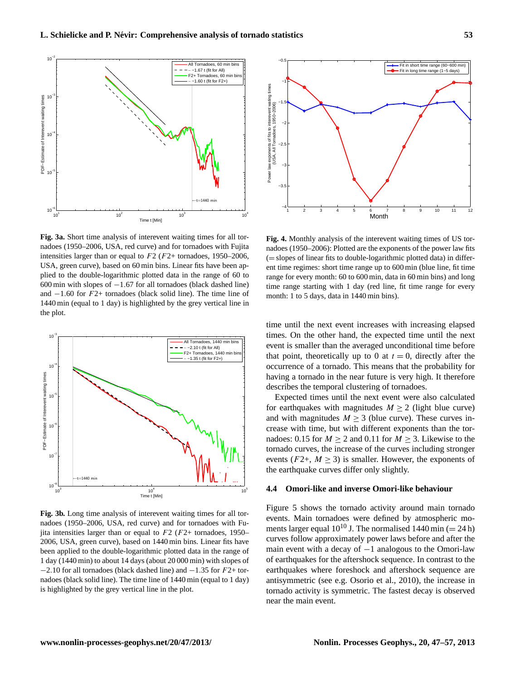

**Fig. 3a.** Short time analysis of interevent waiting times for all tornadoes (1950–2006, USA, red curve) and for tornadoes with Fujita intensities larger than or equal to  $F2$  ( $F2+$  tornadoes, 1950–2006, USA, green curve), based on 60 min bins. Linear fits have been applied to the double-logarithmic plotted data in the range of 60 to 600 min with slopes of −1.67 for all tornadoes (black dashed line) and  $-1.60$  for  $F2+$  tornadoes (black solid line). The time line of 1440 min (equal to 1 day) is highlighted by the grey vertical line in the plot.



**Fig. 3b.** Long time analysis of interevent waiting times for all tornadoes (1950–2006, USA, red curve) and for tornadoes with Fujita intensities larger than or equal to  $F2$  ( $F2+$  tornadoes, 1950– 2006, USA, green curve), based on 1440 min bins. Linear fits have been applied to the double-logarithmic plotted data in the range of 1 day (1440 min) to about 14 days (about 20 000 min) with slopes of  $-2.10$  for all tornadoes (black dashed line) and  $-1.35$  for  $F2+$  tornadoes (black solid line). The time line of 1440 min (equal to 1 day) is highlighted by the grey vertical line in the plot.



**Fig. 4.** Monthly analysis of the interevent waiting times of US tornadoes (1950–2006): Plotted are the exponents of the power law fits (= slopes of linear fits to double-logarithmic plotted data) in different time regimes: short time range up to 600 min (blue line, fit time range for every month: 60 to 600 min, data in 60 min bins) and long time range starting with 1 day (red line, fit time range for every month: 1 to 5 days, data in 1440 min bins).

time until the next event increases with increasing elapsed times. On the other hand, the expected time until the next event is smaller than the averaged unconditional time before that point, theoretically up to 0 at  $t = 0$ , directly after the occurrence of a tornado. This means that the probability for having a tornado in the near future is very high. It therefore describes the temporal clustering of tornadoes.

Expected times until the next event were also calculated for earthquakes with magnitudes  $M > 2$  (light blue curve) and with magnitudes  $M \geq 3$  (blue curve). These curves increase with time, but with different exponents than the tornadoes: 0.15 for  $M \ge 2$  and 0.11 for  $M \ge 3$ . Likewise to the tornado curves, the increase of the curves including stronger events ( $F2+$ ,  $M > 3$ ) is smaller. However, the exponents of the earthquake curves differ only slightly.

#### **4.4 Omori-like and inverse Omori-like behaviour**

Figure 5 shows the tornado activity around main tornado events. Main tornadoes were defined by atmospheric moments larger equal  $10^{10}$  J. The normalised 1440 min (= 24 h) curves follow approximately power laws before and after the main event with a decay of  $-1$  analogous to the Omori-law of earthquakes for the aftershock sequence. In contrast to the earthquakes where foreshock and aftershock sequence are antisymmetric (see e.g. [Osorio et al.,](#page-9-8) [2010\)](#page-9-8), the increase in tornado activity is symmetric. The fastest decay is observed near the main event.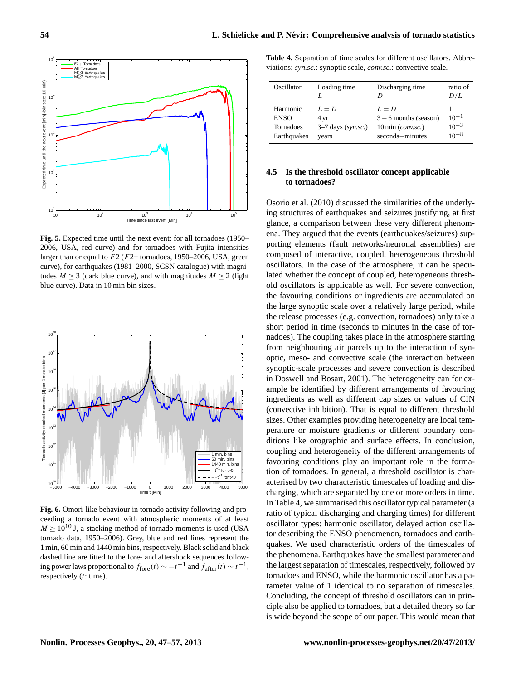

**Fig. 5.** Expected time until the next event: for all tornadoes (1950– 2006, USA, red curve) and for tornadoes with Fujita intensities larger than or equal to  $F2(F2+$  tornadoes, 1950–2006, USA, green curve), for earthquakes (1981–2000, SCSN catalogue) with magnitudes  $M \ge 3$  (dark blue curve), and with magnitudes  $M \ge 2$  (light blue curve). Data in 10 min bin sizes.



**Fig. 6.** Omori-like behaviour in tornado activity following and proceeding a tornado event with atmospheric moments of at least  $M \ge 10^{10}$  J, a stacking method of tornado moments is used (USA tornado data, 1950–2006). Grey, blue and red lines represent the 1 min, 60 min and 1440 min bins, respectively. Black solid and black dashed line are fitted to the fore- and aftershock sequences following power laws proportional to  $f_{\text{fore}}(t) \sim -t^{-1}$  and  $f_{\text{after}}(t) \sim t^{-1}$ , respectively  $(t:$  time).

**Table 4.** Separation of time scales for different oscillators. Abbreviations: *syn.sc.*: synoptic scale, *conv.sc.*: convective scale.

| Oscillator                                          | Loading time                                     | Discharging time<br>D                                                                         | ratio of<br>D/L                     |
|-----------------------------------------------------|--------------------------------------------------|-----------------------------------------------------------------------------------------------|-------------------------------------|
| Harmonic<br><b>ENSO</b><br>Tornadoes<br>Earthquakes | $L = D$<br>4 yr<br>$3-7$ days (syn.sc.)<br>years | $L = D$<br>$3 - 6$ months (season)<br>$10 \text{ min}$ ( <i>conv.sc.</i> )<br>seconds-minutes | $10^{-1}$<br>$10^{-3}$<br>$10^{-8}$ |

# **4.5 Is the threshold oscillator concept applicable to tornadoes?**

[Osorio et al.](#page-9-8) [\(2010\)](#page-9-8) discussed the similarities of the underlying structures of earthquakes and seizures justifying, at first glance, a comparison between these very different phenomena. They argued that the events (earthquakes/seizures) supporting elements (fault networks/neuronal assemblies) are composed of interactive, coupled, heterogeneous threshold oscillators. In the case of the atmosphere, it can be speculated whether the concept of coupled, heterogeneous threshold oscillators is applicable as well. For severe convection, the favouring conditions or ingredients are accumulated on the large synoptic scale over a relatively large period, while the release processes (e.g. convection, tornadoes) only take a short period in time (seconds to minutes in the case of tornadoes). The coupling takes place in the atmosphere starting from neighbouring air parcels up to the interaction of synoptic, meso- and convective scale (the interaction between synoptic-scale processes and severe convection is described in [Doswell and Bosart,](#page-9-16) [2001\)](#page-9-16). The heterogeneity can for example be identified by different arrangements of favouring ingredients as well as different cap sizes or values of CIN (convective inhibition). That is equal to different threshold sizes. Other examples providing heterogeneity are local temperature or moisture gradients or different boundary conditions like orographic and surface effects. In conclusion, coupling and heterogeneity of the different arrangements of favouring conditions play an important role in the formation of tornadoes. In general, a threshold oscillator is characterised by two characteristic timescales of loading and discharging, which are separated by one or more orders in time. In Table 4, we summarised this oscillator typical parameter (a ratio of typical discharging and charging times) for different oscillator types: harmonic oscillator, delayed action oscillator describing the ENSO phenomenon, tornadoes and earthquakes. We used characteristic orders of the timescales of the phenomena. Earthquakes have the smallest parameter and the largest separation of timescales, respectively, followed by tornadoes and ENSO, while the harmonic oscillator has a parameter value of 1 identical to no separation of timescales. Concluding, the concept of threshold oscillators can in principle also be applied to tornadoes, but a detailed theory so far is wide beyond the scope of our paper. This would mean that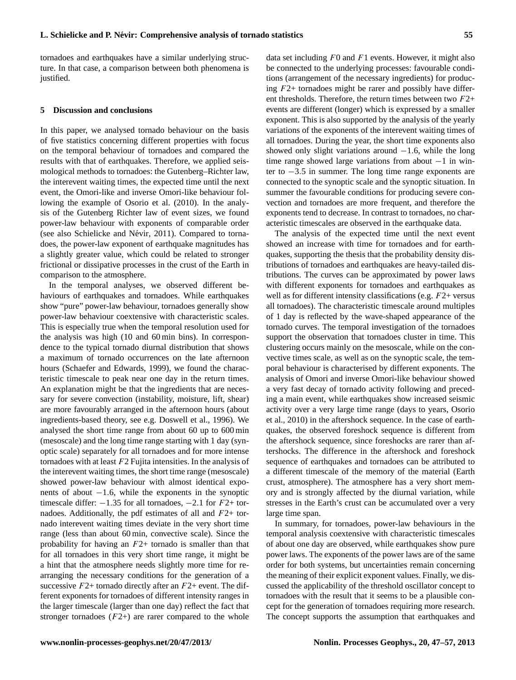tornadoes and earthquakes have a similar underlying structure. In that case, a comparison between both phenomena is justified.

#### **5 Discussion and conclusions**

In this paper, we analysed tornado behaviour on the basis of five statistics concerning different properties with focus on the temporal behaviour of tornadoes and compared the results with that of earthquakes. Therefore, we applied seismological methods to tornadoes: the Gutenberg–Richter law, the interevent waiting times, the expected time until the next event, the Omori-like and inverse Omori-like behaviour following the example of [Osorio et al.](#page-9-8) [\(2010\)](#page-9-8). In the analysis of the Gutenberg Richter law of event sizes, we found power-law behaviour with exponents of comparable order (see also Schielicke and Névir, [2011\)](#page-10-6). Compared to tornadoes, the power-law exponent of earthquake magnitudes has a slightly greater value, which could be related to stronger frictional or dissipative processes in the crust of the Earth in comparison to the atmosphere.

In the temporal analyses, we observed different behaviours of earthquakes and tornadoes. While earthquakes show "pure" power-law behaviour, tornadoes generally show power-law behaviour coextensive with characteristic scales. This is especially true when the temporal resolution used for the analysis was high (10 and 60 min bins). In correspondence to the typical tornado diurnal distribution that shows a maximum of tornado occurrences on the late afternoon hours (Schaefer and Edwards, 1999), we found the characteristic timescale to peak near one day in the return times. An explanation might be that the ingredients that are necessary for severe convection (instability, moisture, lift, shear) are more favourably arranged in the afternoon hours (about ingredients-based theory, see e.g. [Doswell et al.,](#page-9-17) [1996\)](#page-9-17). We analysed the short time range from about 60 up to 600 min (mesoscale) and the long time range starting with 1 day (synoptic scale) separately for all tornadoes and for more intense tornadoes with at least F2 Fujita intensities. In the analysis of the interevent waiting times, the short time range (mesoscale) showed power-law behaviour with almost identical exponents of about  $-1.6$ , while the exponents in the synoptic timescale differ:  $-1.35$  for all tornadoes,  $-2.1$  for  $F2+$  tornadoes. Additionally, the pdf estimates of all and  $F2+$  tornado interevent waiting times deviate in the very short time range (less than about 60 min, convective scale). Since the probability for having an  $F2+$  tornado is smaller than that for all tornadoes in this very short time range, it might be a hint that the atmosphere needs slightly more time for rearranging the necessary conditions for the generation of a successive  $F2+$  tornado directly after an  $F2+$  event. The different exponents for tornadoes of different intensity ranges in the larger timescale (larger than one day) reflect the fact that stronger tornadoes  $(F2+)$  are rarer compared to the whole data set including  $F0$  and  $F1$  events. However, it might also be connected to the underlying processes: favourable conditions (arrangement of the necessary ingredients) for producing  $F2+$  tornadoes might be rarer and possibly have different thresholds. Therefore, the return times between two  $F2+$ events are different (longer) which is expressed by a smaller exponent. This is also supported by the analysis of the yearly variations of the exponents of the interevent waiting times of all tornadoes. During the year, the short time exponents also showed only slight variations around  $-1.6$ , while the long time range showed large variations from about −1 in winter to −3.5 in summer. The long time range exponents are connected to the synoptic scale and the synoptic situation. In summer the favourable conditions for producing severe convection and tornadoes are more frequent, and therefore the exponents tend to decrease. In contrast to tornadoes, no characteristic timescales are observed in the earthquake data.

The analysis of the expected time until the next event showed an increase with time for tornadoes and for earthquakes, supporting the thesis that the probability density distributions of tornadoes and earthquakes are heavy-tailed distributions. The curves can be approximated by power laws with different exponents for tornadoes and earthquakes as well as for different intensity classifications (e.g.  $F2+$  versus all tornadoes). The characteristic timescale around multiples of 1 day is reflected by the wave-shaped appearance of the tornado curves. The temporal investigation of the tornadoes support the observation that tornadoes cluster in time. This clustering occurs mainly on the mesoscale, while on the convective times scale, as well as on the synoptic scale, the temporal behaviour is characterised by different exponents. The analysis of Omori and inverse Omori-like behaviour showed a very fast decay of tornado activity following and preceding a main event, while earthquakes show increased seismic activity over a very large time range (days to years, Osorio et al., 2010) in the aftershock sequence. In the case of earthquakes, the observed foreshock sequence is different from the aftershock sequence, since foreshocks are rarer than aftershocks. The difference in the aftershock and foreshock sequence of earthquakes and tornadoes can be attributed to a different timescale of the memory of the material (Earth crust, atmosphere). The atmosphere has a very short memory and is strongly affected by the diurnal variation, while stresses in the Earth's crust can be accumulated over a very large time span.

In summary, for tornadoes, power-law behaviours in the temporal analysis coextensive with characteristic timescales of about one day are observed, while earthquakes show pure power laws. The exponents of the power laws are of the same order for both systems, but uncertainties remain concerning the meaning of their explicit exponent values. Finally, we discussed the applicability of the threshold oscillator concept to tornadoes with the result that it seems to be a plausible concept for the generation of tornadoes requiring more research. The concept supports the assumption that earthquakes and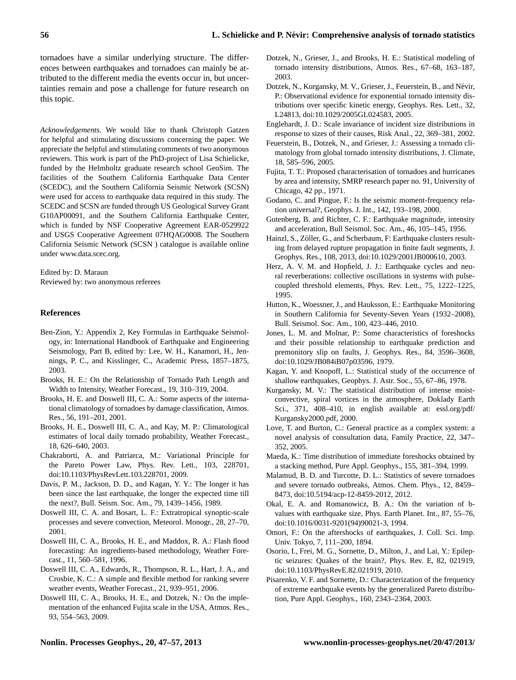tornadoes have a similar underlying structure. The differences between earthquakes and tornadoes can mainly be attributed to the different media the events occur in, but uncertainties remain and pose a challenge for future research on this topic.

*Acknowledgements.* We would like to thank Christoph Gatzen for helpful and stimulating discussions concerning the paper. We appreciate the helpful and stimulating comments of two anonymous reviewers. This work is part of the PhD-project of Lisa Schielicke, funded by the Helmholtz graduate research school GeoSim. The facilities of the Southern California Earthquake Data Center (SCEDC), and the Southern California Seismic Network (SCSN) were used for access to earthquake data required in this study. The SCEDC and SCSN are funded through US Geological Survey Grant G10AP00091, and the Southern California Earthquake Center, which is funded by NSF Cooperative Agreement EAR-0529922 and USGS Cooperative Agreement 07HQAG0008. The Southern California Seismic Network (SCSN ) catalogue is available online under [www.data.scec.org.](www.data.scec.org)

Edited by: D. Maraun Reviewed by: two anonymous referees

## **References**

- <span id="page-9-12"></span>Ben-Zion, Y.: Appendix 2, Key Formulas in Earthquake Seismology, in: International Handbook of Earthquake and Engineering Seismology, Part B, edited by: Lee, W. H., Kanamori, H., Jennings, P. C., and Kisslinger, C., Academic Press, 1857–1875, 2003.
- <span id="page-9-0"></span>Brooks, H. E.: On the Relationship of Tornado Path Length and Width to Intensity, Weather Forecast., 19, 310–319, 2004.
- Brooks, H. E. and Doswell III, C. A.: Some aspects of the international climatology of tornadoes by damage classification, Atmos. Res., 56, 191–201, 2001.
- <span id="page-9-2"></span>Brooks, H. E., Doswell III, C. A., and Kay, M. P.: Climatological estimates of local daily tornado probability, Weather Forecast., 18, 626–640, 2003.
- <span id="page-9-4"></span>Chakraborti, A. and Patriarca, M.: Variational Principle for the Pareto Power Law, Phys. Rev. Lett., 103, 228701, [doi:10.1103/PhysRevLett.103.228701,](http://dx.doi.org/10.1103/PhysRevLett.103.228701) 2009.
- Davis, P. M., Jackson, D. D., and Kagan, Y. Y.: The longer it has been since the last earthquake, the longer the expected time till the next?, Bull. Seism. Soc. Am., 79, 1439–1456, 1989.
- <span id="page-9-16"></span>Doswell III, C. A. and Bosart, L. F.: Extratropical synoptic-scale processes and severe convection, Meteorol. Monogr., 28, 27–70, 2001.
- <span id="page-9-17"></span>Doswell III, C. A., Brooks, H. E., and Maddox, R. A.: Flash flood forecasting: An ingredients-based methodology, Weather Forecast., 11, 560–581, 1996.
- <span id="page-9-10"></span>Doswell III, C. A., Edwards, R., Thompson, R. L., Hart, J. A., and Crosbie, K. C.: A simple and flexible method for ranking severe weather events, Weather Forecast., 21, 939–951, 2006.
- <span id="page-9-11"></span>Doswell III, C. A., Brooks, H. E., and Dotzek, N.: On the implementation of the enhanced Fujita scale in the USA, Atmos. Res., 93, 554–563, 2009.
- Dotzek, N., Grieser, J., and Brooks, H. E.: Statistical modeling of tornado intensity distributions, Atmos. Res., 67–68, 163–187, 2003.
- Dotzek, N., Kurgansky, M. V., Grieser, J., Feuerstein, B., and Névir, P.: Observational evidence for exponential tornado intensity distributions over specific kinetic energy, Geophys. Res. Lett., 32, L24813, [doi:10.1029/2005GL024583,](http://dx.doi.org/10.1029/2005GL024583) 2005.
- <span id="page-9-6"></span>Englehardt, J. D.: Scale invariance of incident size distributions in response to sizes of their causes, Risk Anal., 22, 369–381, 2002.
- Feuerstein, B., Dotzek, N., and Grieser, J.: Assessing a tornado climatology from global tornado intensity distributions, J. Climate, 18, 585–596, 2005.
- Fujita, T. T.: Proposed characterisation of tornadoes and hurricanes by area and intensity, SMRP research paper no. 91, University of Chicago, 42 pp., 1971.
- Godano, C. and Pingue, F.: Is the seismic moment-frequency relation universal?, Geophys. J. Int., 142, 193–198, 2000.
- Gutenberg, B. and Richter, C. F.: Earthquake magnitude, intensity and acceleration, Bull Seismol. Soc. Am., 46, 105–145, 1956.
- <span id="page-9-3"></span>Hainzl, S., Zöller, G., and Scherbaum, F: Earthquake clusters resulting from delayed rupture propagation in finite fault segments, J. Geophys. Res., 108, 2013, [doi:10.1029/2001JB000610,](http://dx.doi.org/10.1029/2001JB000610) 2003.
- <span id="page-9-7"></span>Herz, A. V. M. and Hopfield, J. J.: Earthquake cycles and neural reverberations: collective oscillations in systems with pulsecoupled threshold elements, Phys. Rev. Lett., 75, 1222–1225, 1995.
- Hutton, K., Woessner, J., and Hauksson, E.: Earthquake Monitoring in Southern California for Seventy-Seven Years (1932–2008), Bull. Seismol. Soc. Am., 100, 423–446, 2010.
- <span id="page-9-14"></span>Jones, L. M. and Molnar, P.: Some characteristics of foreshocks and their possible relationship to earthquake prediction and premonitory slip on faults, J. Geophys. Res., 84, 3596–3608, [doi:10.1029/JB084iB07p03596,](http://dx.doi.org/10.1029/JB084iB07p03596) 1979.
- <span id="page-9-13"></span>Kagan, Y. and Knopoff, L.: Statistical study of the occurrence of shallow earthquakes, Geophys. J. Astr. Soc., 55, 67–86, 1978.
- Kurgansky, M. V.: The statistical distribution of intense moistconvective, spiral vortices in the atmosphere, Doklady Earth Sci., 371, 408–410, in english available at: [essl.org/pdf/](essl.org/pdf/Kurgansky2000.pdf) [Kurgansky2000.pdf,](essl.org/pdf/Kurgansky2000.pdf) 2000.
- <span id="page-9-5"></span>Love, T. and Burton, C.: General practice as a complex system: a novel analysis of consultation data, Family Practice, 22, 347– 352, 2005.
- <span id="page-9-15"></span>Maeda, K.: Time distribution of immediate foreshocks obtained by a stacking method, Pure Appl. Geophys., 155, 381–394, 1999.
- <span id="page-9-1"></span>Malamud, B. D. and Turcotte, D. L.: Statistics of severe tornadoes and severe tornado outbreaks, Atmos. Chem. Phys., 12, 8459– 8473, [doi:10.5194/acp-12-8459-2012,](http://dx.doi.org/10.5194/acp-12-8459-2012) 2012.
- Okal, E. A. and Romanowicz, B. A.: On the variation of bvalues with earthquake size, Phys. Earth Planet. Int., 87, 55–76, [doi:10.1016/0031-9201\(94\)90021-3,](http://dx.doi.org/10.1016/0031-9201(94)90021-3) 1994.
- Omori, F.: On the aftershocks of earthquakes, J. Coll. Sci. Imp. Univ. Tokyo, 7, 111–200, 1894.
- <span id="page-9-8"></span>Osorio, I., Frei, M. G., Sornette, D., Milton, J., and Lai, Y.: Epileptic seizures: Quakes of the brain?, Phys. Rev. E, 82, 021919, [doi:10.1103/PhysRevE.82.021919,](http://dx.doi.org/10.1103/PhysRevE.82.021919) 2010.
- <span id="page-9-9"></span>Pisarenko, V. F. and Sornette, D.: Characterization of the frequency of extreme earthquake events by the generalized Pareto distribution, Pure Appl. Geophys., 160, 2343–2364, 2003.